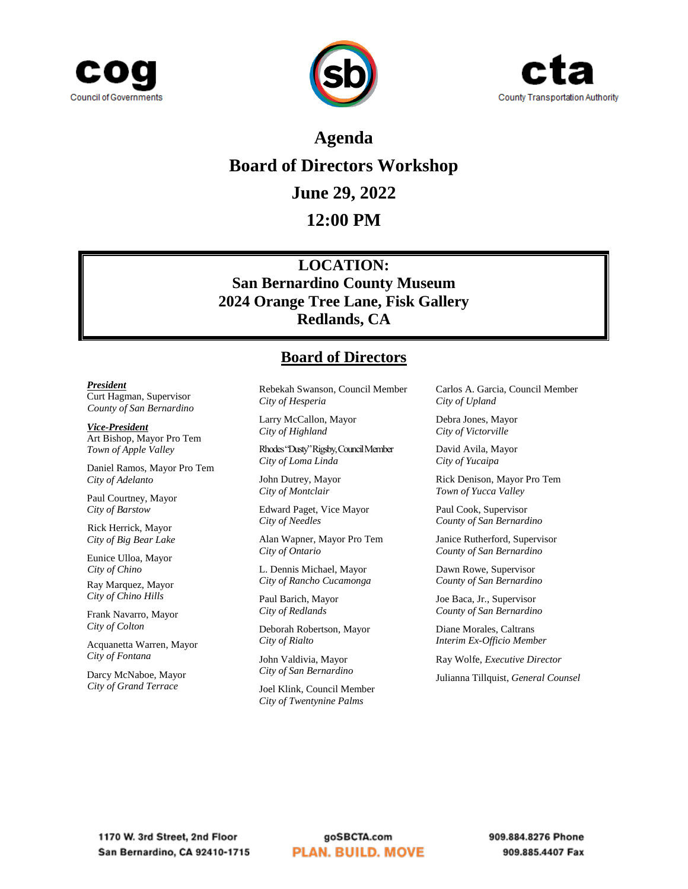





# **Agenda Board of Directors Workshop June 29, 2022**

## **12:00 PM**

**LOCATION: San Bernardino County Museum 2024 Orange Tree Lane, Fisk Gallery Redlands, CA**

## **Board of Directors**

*President*

Curt Hagman, Supervisor *County of San Bernardino*

*Vice-President* Art Bishop, Mayor Pro Tem *Town of Apple Valley*

Daniel Ramos, Mayor Pro Tem *City of Adelanto*

Paul Courtney, Mayor *City of Barstow*

Rick Herrick, Mayor *City of Big Bear Lake*

Eunice Ulloa, Mayor *City of Chino*

Ray Marquez, Mayor *City of Chino Hills*

Frank Navarro, Mayor *City of Colton*

Acquanetta Warren, Mayor *City of Fontana*

Darcy McNaboe, Mayor *City of Grand Terrace*

Rebekah Swanson, Council Member *City of Hesperia*

Larry McCallon, Mayor *City of Highland*

Rhodes "Dusty" Rigsby, Council Member *City of Loma Linda*

John Dutrey, Mayor *City of Montclair*

Edward Paget, Vice Mayor *City of Needles*

Alan Wapner, Mayor Pro Tem *City of Ontario*

L. Dennis Michael, Mayor *City of Rancho Cucamonga*

Paul Barich, Mayor *City of Redlands*

Deborah Robertson*,* Mayor *City of Rialto*

John Valdivia, Mayor *City of San Bernardino*

Joel Klink, Council Member *City of Twentynine Palms*

Carlos A. Garcia, Council Member *City of Upland*

Debra Jones, Mayor *City of Victorville*

David Avila, Mayor *City of Yucaipa*

Rick Denison, Mayor Pro Tem *Town of Yucca Valley*

Paul Cook, Supervisor *County of San Bernardino*

Janice Rutherford, Supervisor *County of San Bernardino*

Dawn Rowe, Supervisor *County of San Bernardino*

Joe Baca, Jr., Supervisor *County of San Bernardino*

Diane Morales, Caltrans *Interim Ex-Officio Member*

Ray Wolfe, *Executive Director*

Julianna Tillquist, *General Counsel*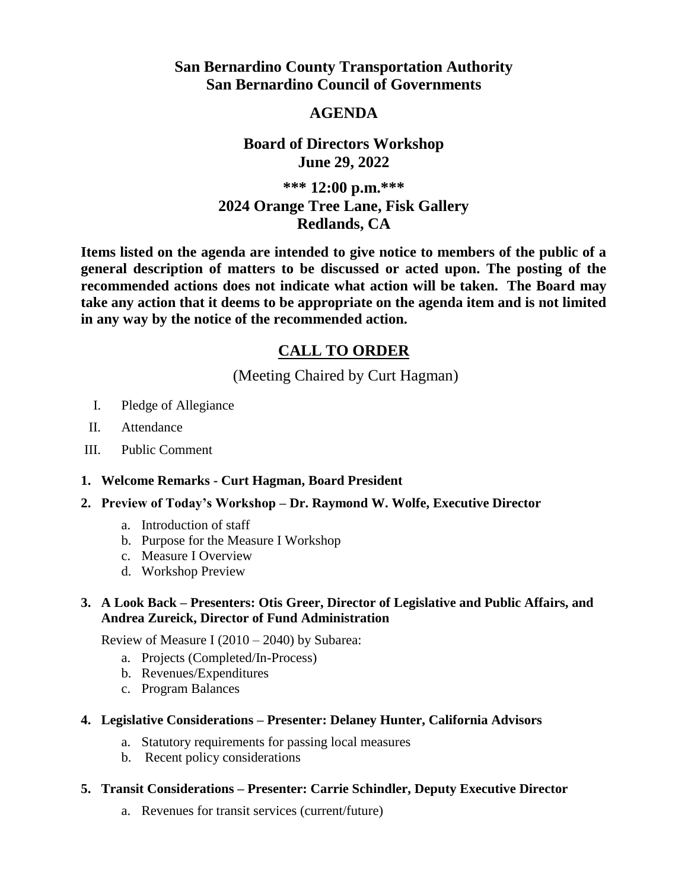## **San Bernardino County Transportation Authority San Bernardino Council of Governments**

### **AGENDA**

## **Board of Directors Workshop June 29, 2022**

## **\*\*\* 12:00 p.m.\*\*\* 2024 Orange Tree Lane, Fisk Gallery Redlands, CA**

**Items listed on the agenda are intended to give notice to members of the public of a general description of matters to be discussed or acted upon. The posting of the recommended actions does not indicate what action will be taken. The Board may take any action that it deems to be appropriate on the agenda item and is not limited in any way by the notice of the recommended action.**

## **CALL TO ORDER**

(Meeting Chaired by Curt Hagman)

- I. Pledge of Allegiance
- II. Attendance
- III. Public Comment

#### **1. Welcome Remarks - Curt Hagman, Board President**

- **2. Preview of Today's Workshop – Dr. Raymond W. Wolfe, Executive Director**
	- a. Introduction of staff
	- b. Purpose for the Measure I Workshop
	- c. Measure I Overview
	- d. Workshop Preview

#### **3. A Look Back – Presenters: Otis Greer, Director of Legislative and Public Affairs, and Andrea Zureick, Director of Fund Administration**

Review of Measure I (2010 – 2040) by Subarea:

- a. Projects (Completed/In-Process)
- b. Revenues/Expenditures
- c. Program Balances

#### **4. Legislative Considerations – Presenter: Delaney Hunter, California Advisors**

- a. Statutory requirements for passing local measures
- b. Recent policy considerations

#### **5. Transit Considerations – Presenter: Carrie Schindler, Deputy Executive Director**

a. Revenues for transit services (current/future)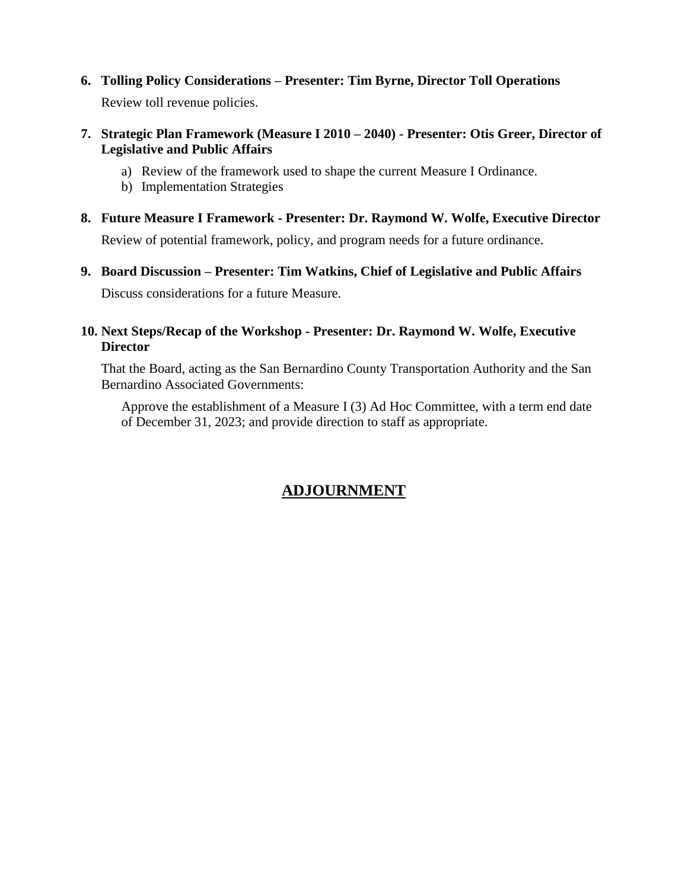**6. Tolling Policy Considerations – Presenter: Tim Byrne, Director Toll Operations** Review toll revenue policies.

#### **7. Strategic Plan Framework (Measure I 2010 – 2040) - Presenter: Otis Greer, Director of Legislative and Public Affairs**

- a) Review of the framework used to shape the current Measure I Ordinance.
- b) Implementation Strategies
- **8. Future Measure I Framework - Presenter: Dr. Raymond W. Wolfe, Executive Director** Review of potential framework, policy, and program needs for a future ordinance.
- **9. Board Discussion – Presenter: Tim Watkins, Chief of Legislative and Public Affairs** Discuss considerations for a future Measure.

#### **10. Next Steps/Recap of the Workshop - Presenter: Dr. Raymond W. Wolfe, Executive Director**

That the Board, acting as the San Bernardino County Transportation Authority and the San Bernardino Associated Governments:

Approve the establishment of a Measure I (3) Ad Hoc Committee, with a term end date of December 31, 2023; and provide direction to staff as appropriate.

## **ADJOURNMENT**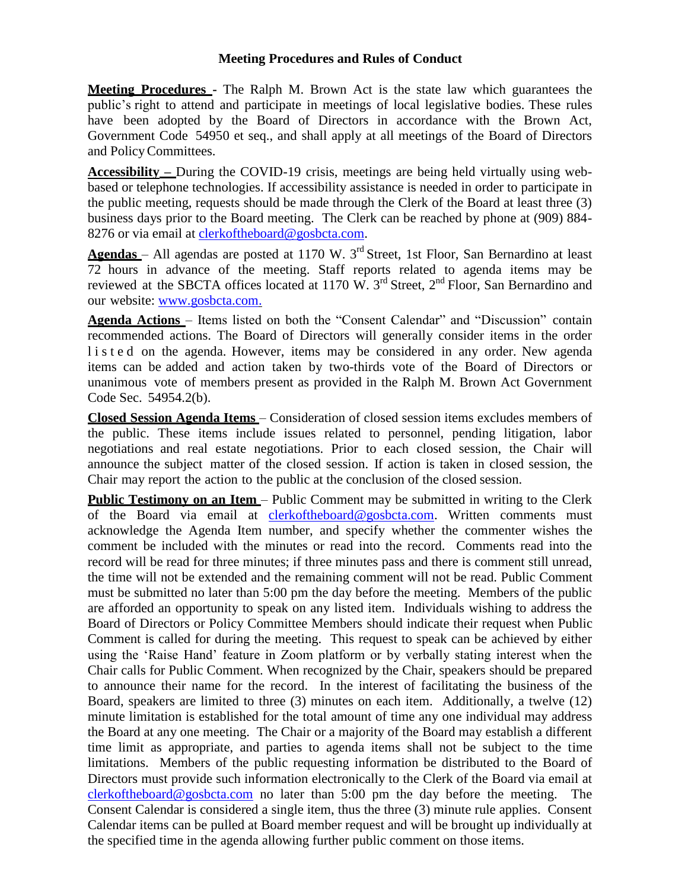#### **Meeting Procedures and Rules of Conduct**

**Meeting Procedures -** The Ralph M. Brown Act is the state law which guarantees the public's right to attend and participate in meetings of local legislative bodies. These rules have been adopted by the Board of Directors in accordance with the Brown Act, Government Code 54950 et seq., and shall apply at all meetings of the Board of Directors and PolicyCommittees.

**Accessibility –** During the COVID-19 crisis, meetings are being held virtually using webbased or telephone technologies. If accessibility assistance is needed in order to participate in the public meeting, requests should be made through the Clerk of the Board at least three (3) business days prior to the Board meeting. The Clerk can be reached by phone at (909) 884 8276 or via email at [clerkoftheboard@gosbcta.com.](mailto:clerkoftheboard@gosbcta.com)

**Agendas** – All agendas are posted at 1170 W. 3 rd Street, 1st Floor, San Bernardino at least 72 hours in advance of the meeting. Staff reports related to agenda items may be reviewed at the SBCTA offices located at 1170 W. 3<sup>rd</sup> Street, 2<sup>nd</sup> Floor, San Bernardino and our website: [www.gosbcta.com.](http://www.gosbcta.com/)

**Agenda Actions** – Items listed on both the "Consent Calendar" and "Discussion" contain recommended actions. The Board of Directors will generally consider items in the order l i s t e d on the agenda. However, items may be considered in any order. New agenda items can be added and action taken by two-thirds vote of the Board of Directors or unanimous vote of members present as provided in the Ralph M. Brown Act Government Code Sec. 54954.2(b).

**Closed Session Agenda Items** – Consideration of closed session items excludes members of the public. These items include issues related to personnel, pending litigation, labor negotiations and real estate negotiations. Prior to each closed session, the Chair will announce the subject matter of the closed session. If action is taken in closed session, the Chair may report the action to the public at the conclusion of the closed session.

**Public Testimony on an Item** – Public Comment may be submitted in writing to the Clerk of the Board via email at [clerkoftheboard@gosbcta.com.](mailto:clerkoftheboard@gosbcta.com) Written comments must acknowledge the Agenda Item number, and specify whether the commenter wishes the comment be included with the minutes or read into the record. Comments read into the record will be read for three minutes; if three minutes pass and there is comment still unread, the time will not be extended and the remaining comment will not be read. Public Comment must be submitted no later than 5:00 pm the day before the meeting. Members of the public are afforded an opportunity to speak on any listed item. Individuals wishing to address the Board of Directors or Policy Committee Members should indicate their request when Public Comment is called for during the meeting. This request to speak can be achieved by either using the 'Raise Hand' feature in Zoom platform or by verbally stating interest when the Chair calls for Public Comment. When recognized by the Chair, speakers should be prepared to announce their name for the record. In the interest of facilitating the business of the Board, speakers are limited to three (3) minutes on each item. Additionally, a twelve (12) minute limitation is established for the total amount of time any one individual may address the Board at any one meeting. The Chair or a majority of the Board may establish a different time limit as appropriate, and parties to agenda items shall not be subject to the time limitations. Members of the public requesting information be distributed to the Board of Directors must provide such information electronically to the Clerk of the Board via email at [clerkoftheboard@gosbcta.com](mailto:clerkoftheboard@gosbcta.com) no later than 5:00 pm the day before the meeting. The Consent Calendar is considered a single item, thus the three (3) minute rule applies. Consent Calendar items can be pulled at Board member request and will be brought up individually at the specified time in the agenda allowing further public comment on those items.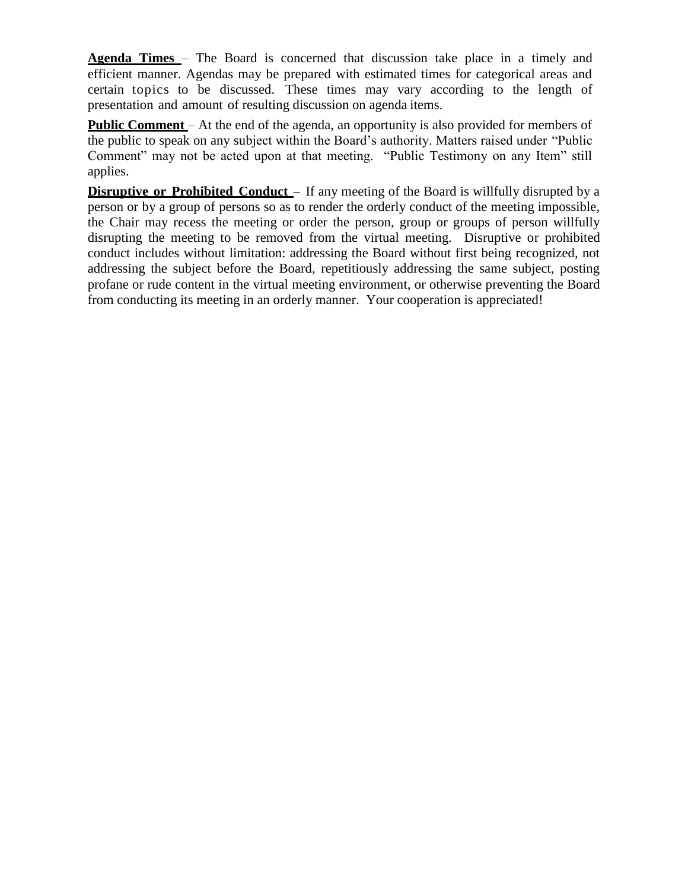**Agenda Times** – The Board is concerned that discussion take place in a timely and efficient manner. Agendas may be prepared with estimated times for categorical areas and certain topics to be discussed. These times may vary according to the length of presentation and amount of resulting discussion on agenda items.

**Public Comment** – At the end of the agenda, an opportunity is also provided for members of the public to speak on any subject within the Board's authority. Matters raised under "Public Comment" may not be acted upon at that meeting. "Public Testimony on any Item" still applies.

**Disruptive or Prohibited Conduct** – If any meeting of the Board is willfully disrupted by a person or by a group of persons so as to render the orderly conduct of the meeting impossible, the Chair may recess the meeting or order the person, group or groups of person willfully disrupting the meeting to be removed from the virtual meeting. Disruptive or prohibited conduct includes without limitation: addressing the Board without first being recognized, not addressing the subject before the Board, repetitiously addressing the same subject, posting profane or rude content in the virtual meeting environment, or otherwise preventing the Board from conducting its meeting in an orderly manner. Your cooperation is appreciated!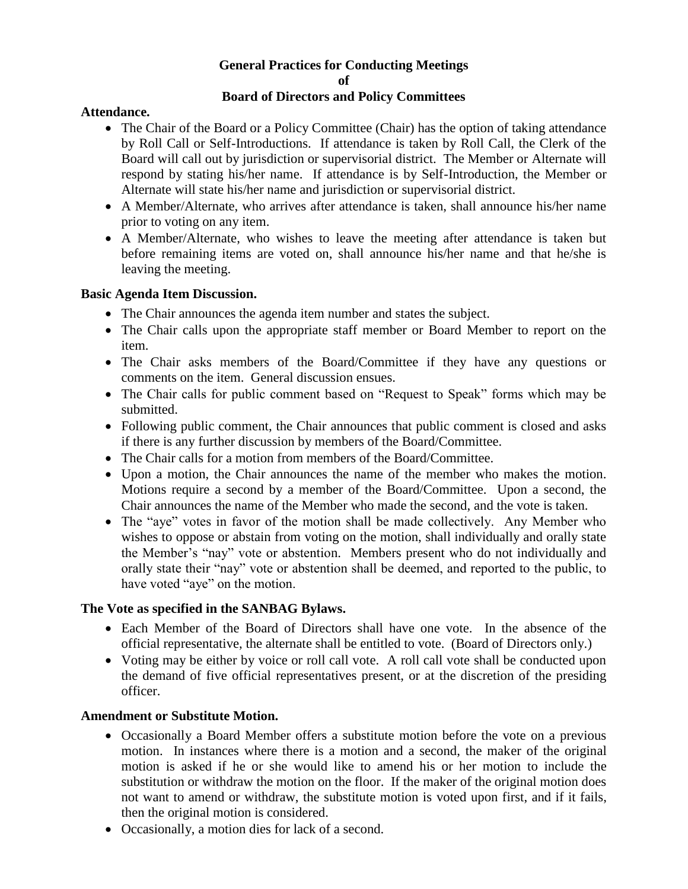# **General Practices for Conducting Meetings**

#### **Board of Directors and Policy Committees**

#### **Attendance.**

- The Chair of the Board or a Policy Committee (Chair) has the option of taking attendance by Roll Call or Self-Introductions. If attendance is taken by Roll Call, the Clerk of the Board will call out by jurisdiction or supervisorial district. The Member or Alternate will respond by stating his/her name. If attendance is by Self-Introduction, the Member or Alternate will state his/her name and jurisdiction or supervisorial district.
- A Member/Alternate, who arrives after attendance is taken, shall announce his/her name prior to voting on any item.
- A Member/Alternate, who wishes to leave the meeting after attendance is taken but before remaining items are voted on, shall announce his/her name and that he/she is leaving the meeting.

#### **Basic Agenda Item Discussion.**

- The Chair announces the agenda item number and states the subject.
- The Chair calls upon the appropriate staff member or Board Member to report on the item.
- The Chair asks members of the Board/Committee if they have any questions or comments on the item. General discussion ensues.
- The Chair calls for public comment based on "Request to Speak" forms which may be submitted.
- Following public comment, the Chair announces that public comment is closed and asks if there is any further discussion by members of the Board/Committee.
- The Chair calls for a motion from members of the Board/Committee.
- Upon a motion, the Chair announces the name of the member who makes the motion. Motions require a second by a member of the Board/Committee. Upon a second, the Chair announces the name of the Member who made the second, and the vote is taken.
- The "aye" votes in favor of the motion shall be made collectively. Any Member who wishes to oppose or abstain from voting on the motion, shall individually and orally state the Member's "nay" vote or abstention. Members present who do not individually and orally state their "nay" vote or abstention shall be deemed, and reported to the public, to have voted "aye" on the motion.

#### **The Vote as specified in the SANBAG Bylaws.**

- Each Member of the Board of Directors shall have one vote. In the absence of the official representative, the alternate shall be entitled to vote. (Board of Directors only.)
- Voting may be either by voice or roll call vote. A roll call vote shall be conducted upon the demand of five official representatives present, or at the discretion of the presiding officer.

#### **Amendment or Substitute Motion.**

- Occasionally a Board Member offers a substitute motion before the vote on a previous motion. In instances where there is a motion and a second, the maker of the original motion is asked if he or she would like to amend his or her motion to include the substitution or withdraw the motion on the floor. If the maker of the original motion does not want to amend or withdraw, the substitute motion is voted upon first, and if it fails, then the original motion is considered.
- Occasionally, a motion dies for lack of a second.